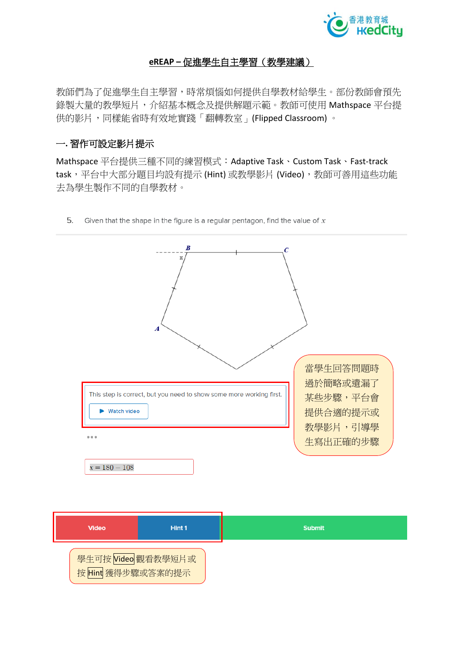

## **eREAP –** 促進學生自主學習(教學建議)

教師們為了促進學生自主學習,時常煩惱如何提供自學教材給學生。部份教師會預先 錄製大量的教學短片,介紹基本概念及提供解題示範。教師可使用 Mathspace 平台提 供的影片,同樣能省時有效地實踐「翻轉教室」(Flipped Classroom)。

## 一**.** 習作可設定影片提示

Mathspace 平台提供三種不同的練習模式︰Adaptive Task、Custom Task、Fast-track task,平台中大部分題目均設有提示 (Hint) 或教學影片 (Video), 教師可善用這些功能 去為學生製作不同的自學教材。

5. Given that the shape in the figure is a regular pentagon, find the value of  $x$ 



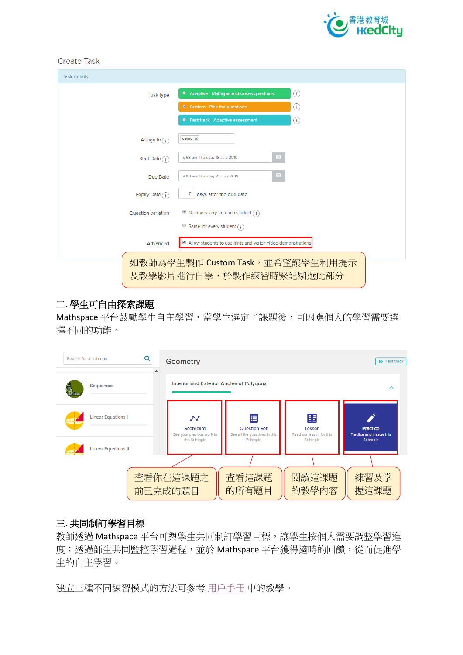

#### **Create Task**

| Task details                                               |                                                            |     |
|------------------------------------------------------------|------------------------------------------------------------|-----|
| Task type                                                  | Adaptive - Mathspace chooses questions                     | (i) |
|                                                            | <b>O</b> Custom - Pick the questions                       | (i) |
|                                                            | • Fast-track - Adaptive assessment                         | (i) |
| Assign to $\binom{1}{1}$                                   | $demo \mathbb{X}$                                          |     |
| Start Date $\binom{1}{1}$                                  | 自<br>5:58 pm Thursday 18 July 2019                         |     |
| Due Date                                                   | 自<br>9:00 am Thursday 25 July 2019                         |     |
| Expiry Date $\binom{1}{1}$                                 | 7<br>days after the due date                               |     |
| Question variation                                         | Numbers vary for each student (1)                          |     |
|                                                            | $\circ$ Same for every student $\binom{1}{1}$              |     |
| Advanced                                                   | Allow students to use hints and watch video demonstrations |     |
| 如教師為學生製作 Custom Task,並希望讓學生利用提示<br>及教學影片進行自學,於製作練習時緊記剔選此部分 |                                                            |     |

# 二**.** 學生可自由探索課題

Mathspace 平台鼓勵學生自主學習,當學生選定了課題後,可因應個人的學習需要選 擇不同的功能。



# 三**.** 共同制訂學習目標

教師透過 Mathspace 平台可與學生共同制訂學習目標,讓學生按個人需要調整學習進 度;透過師生共同監控學習過程,並於 Mathspace 平台獲得適時的回饋,從而促進學 生的自主學習。

建立三種不同練習模式的方法可參考 [用戶手冊](https://www.hkedcity.net/ereap/zh-hant/mathspace#field-tab-tab-2) 中的教學。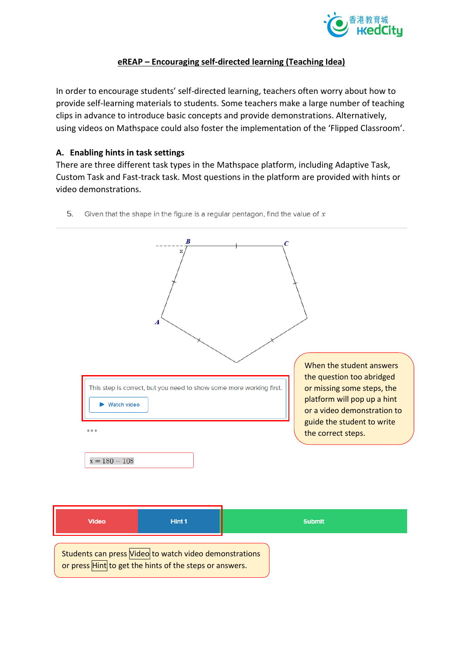

### **eREAP – Encouraging self-directed learning (Teaching Idea)**

In order to encourage students' self-directed learning, teachers often worry about how to provide self-learning materials to students. Some teachers make a large number of teaching clips in advance to introduce basic concepts and provide demonstrations. Alternatively, using videos on Mathspace could also foster the implementation of the 'Flipped Classroom'.

#### **A. Enabling hints in task settings**

There are three different task types in the Mathspace platform, including Adaptive Task, Custom Task and Fast-track task. Most questions in the platform are provided with hints or video demonstrations.



5. Given that the shape in the figure is a regular pentagon, find the value of  $x$